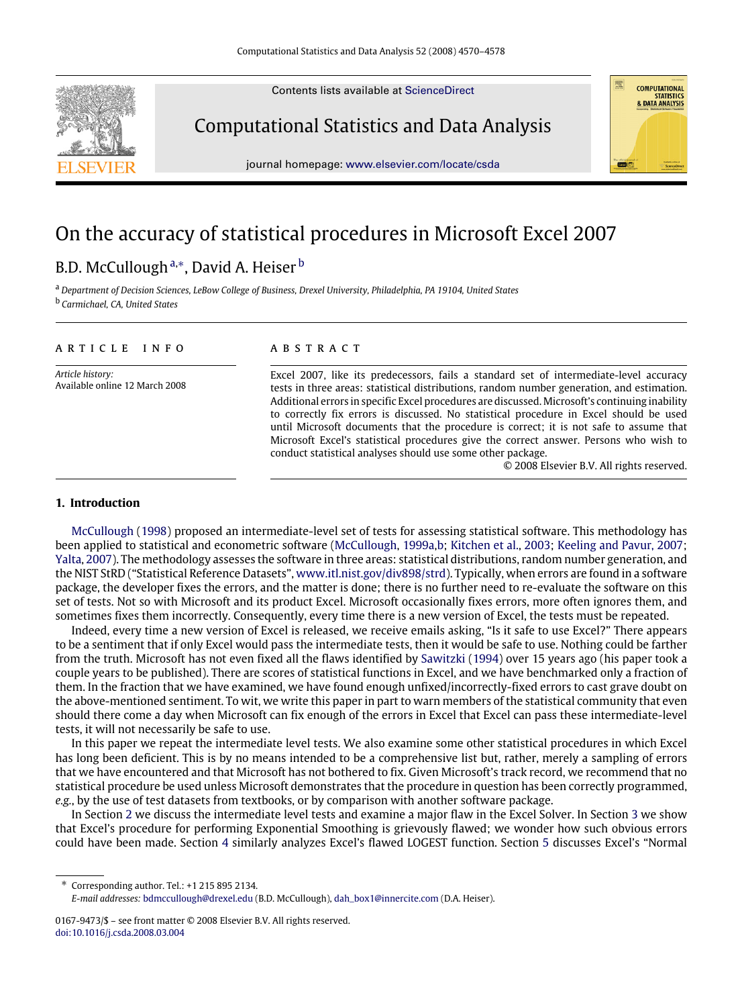Contents lists available at [ScienceDirect](http://www.elsevier.com/locate/csda)



Computational Statistics and Data Analysis

journal homepage: [www.elsevier.com/locate/csda](http://www.elsevier.com/locate/csda)

# On the accuracy of statistical procedures in Microsoft Excel 2007

## B.D. McCullough<sup>[a,](#page-0-0)[∗](#page-0-1)</sup>, David A. Heiser <sup>[b](#page-0-2)</sup>

<span id="page-0-2"></span><span id="page-0-0"></span><sup>a</sup> *Department of Decision Sciences, LeBow College of Business, Drexel University, Philadelphia, PA 19104, United States* <sup>b</sup> *Carmichael, CA, United States*

#### ARTICLE INFO

*Article history:* Available online 12 March 2008

#### a b s t r a c t

Excel 2007, like its predecessors, fails a standard set of intermediate-level accuracy tests in three areas: statistical distributions, random number generation, and estimation. Additional errors in specific Excel procedures are discussed. Microsoft's continuing inability to correctly fix errors is discussed. No statistical procedure in Excel should be used until Microsoft documents that the procedure is correct; it is not safe to assume that Microsoft Excel's statistical procedures give the correct answer. Persons who wish to conduct statistical analyses should use some other package.

© 2008 Elsevier B.V. All rights reserved.

#### **1. Introduction**

[McCullough](#page-8-0) [\(1998\)](#page-8-0) proposed an intermediate-level set of tests for assessing statistical software. This methodology has been applied to statistical and econometric software [\(McCullough,](#page-8-1) [1999a,b;](#page-8-1) [Kitchen](#page-8-2) [et al.,](#page-8-2) [2003;](#page-8-2) [Keeling](#page-8-3) [and](#page-8-3) [Pavur,](#page-8-3) [2007;](#page-8-3) [Yalta,](#page-8-4) [2007\)](#page-8-4). The methodology assesses the software in three areas: statistical distributions, random number generation, and the NIST StRD ("Statistical Reference Datasets", [www.itl.nist.gov/div898/strd\)](http://www.itl.nist.gov/div898/strd). Typically, when errors are found in a software package, the developer fixes the errors, and the matter is done; there is no further need to re-evaluate the software on this set of tests. Not so with Microsoft and its product Excel. Microsoft occasionally fixes errors, more often ignores them, and sometimes fixes them incorrectly. Consequently, every time there is a new version of Excel, the tests must be repeated.

Indeed, every time a new version of Excel is released, we receive emails asking, "Is it safe to use Excel?" There appears to be a sentiment that if only Excel would pass the intermediate tests, then it would be safe to use. Nothing could be farther from the truth. Microsoft has not even fixed all the flaws identified by [Sawitzki](#page-8-5) [\(1994\)](#page-8-5) over 15 years ago (his paper took a couple years to be published). There are scores of statistical functions in Excel, and we have benchmarked only a fraction of them. In the fraction that we have examined, we have found enough unfixed/incorrectly-fixed errors to cast grave doubt on the above-mentioned sentiment. To wit, we write this paper in part to warn members of the statistical community that even should there come a day when Microsoft can fix enough of the errors in Excel that Excel can pass these intermediate-level tests, it will not necessarily be safe to use.

In this paper we repeat the intermediate level tests. We also examine some other statistical procedures in which Excel has long been deficient. This is by no means intended to be a comprehensive list but, rather, merely a sampling of errors that we have encountered and that Microsoft has not bothered to fix. Given Microsoft's track record, we recommend that no statistical procedure be used unless Microsoft demonstrates that the procedure in question has been correctly programmed, *e.g.*, by the use of test datasets from textbooks, or by comparison with another software package.

In Section [2](#page-1-0) we discuss the intermediate level tests and examine a major flaw in the Excel Solver. In Section [3](#page-2-0) we show that Excel's procedure for performing Exponential Smoothing is grievously flawed; we wonder how such obvious errors could have been made. Section [4](#page-3-0) similarly analyzes Excel's flawed LOGEST function. Section [5](#page-4-0) discusses Excel's "Normal

<span id="page-0-1"></span>∗ Corresponding author. Tel.: +1 215 895 2134.

*E-mail addresses:* [bdmccullough@drexel.edu](mailto:bdmccullough@drexel.edu) (B.D. McCullough), [dah\\_box1@innercite.com](mailto:dah_box1@innercite.com) (D.A. Heiser).

<sup>0167-9473/\$ –</sup> see front matter © 2008 Elsevier B.V. All rights reserved. [doi:10.1016/j.csda.2008.03.004](http://dx.doi.org/10.1016/j.csda.2008.03.004)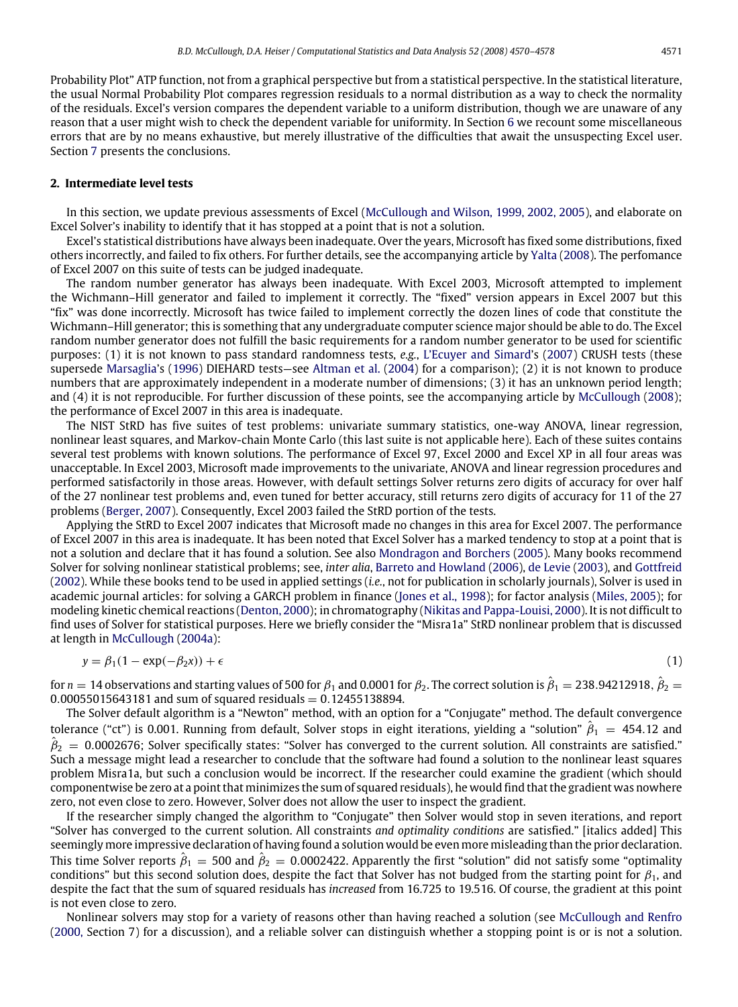Probability Plot" ATP function, not from a graphical perspective but from a statistical perspective. In the statistical literature, the usual Normal Probability Plot compares regression residuals to a normal distribution as a way to check the normality of the residuals. Excel's version compares the dependent variable to a uniform distribution, though we are unaware of any reason that a user might wish to check the dependent variable for uniformity. In Section [6](#page-6-0) we recount some miscellaneous errors that are by no means exhaustive, but merely illustrative of the difficulties that await the unsuspecting Excel user. Section [7](#page-7-0) presents the conclusions.

#### <span id="page-1-0"></span>**2. Intermediate level tests**

In this section, we update previous assessments of Excel [\(McCullough](#page-8-6) [and](#page-8-6) [Wilson,](#page-8-6) [1999,](#page-8-6) [2002,](#page-8-7) [2005\)](#page-8-8), and elaborate on Excel Solver's inability to identify that it has stopped at a point that is not a solution.

Excel's statistical distributions have always been inadequate. Over the years, Microsoft has fixed some distributions, fixed others incorrectly, and failed to fix others. For further details, see the accompanying article by [Yalta](#page-8-9) [\(2008\)](#page-8-9). The perfomance of Excel 2007 on this suite of tests can be judged inadequate.

The random number generator has always been inadequate. With Excel 2003, Microsoft attempted to implement the Wichmann–Hill generator and failed to implement it correctly. The "fixed" version appears in Excel 2007 but this "fix" was done incorrectly. Microsoft has twice failed to implement correctly the dozen lines of code that constitute the Wichmann–Hill generator; this is something that any undergraduate computer science major should be able to do. The Excel random number generator does not fulfill the basic requirements for a random number generator to be used for scientific purposes: (1) it is not known to pass standard randomness tests, *e.g.*, [L'Ecuyer](#page-8-10) [and](#page-8-10) [Simard'](#page-8-10)s [\(2007\)](#page-8-10) CRUSH tests (these supersede [Marsaglia'](#page-8-11)s [\(1996\)](#page-8-11) DIEHARD tests—see [Altman](#page-8-12) [et al.](#page-8-12) [\(2004\)](#page-8-12) for a comparison); (2) it is not known to produce numbers that are approximately independent in a moderate number of dimensions; (3) it has an unknown period length; and (4) it is not reproducible. For further discussion of these points, see the accompanying article by [McCullough](#page-8-13) [\(2008\)](#page-8-13); the performance of Excel 2007 in this area is inadequate.

The NIST StRD has five suites of test problems: univariate summary statistics, one-way ANOVA, linear regression, nonlinear least squares, and Markov-chain Monte Carlo (this last suite is not applicable here). Each of these suites contains several test problems with known solutions. The performance of Excel 97, Excel 2000 and Excel XP in all four areas was unacceptable. In Excel 2003, Microsoft made improvements to the univariate, ANOVA and linear regression procedures and performed satisfactorily in those areas. However, with default settings Solver returns zero digits of accuracy for over half of the 27 nonlinear test problems and, even tuned for better accuracy, still returns zero digits of accuracy for 11 of the 27 problems [\(Berger,](#page-8-14) [2007\)](#page-8-14). Consequently, Excel 2003 failed the StRD portion of the tests.

Applying the StRD to Excel 2007 indicates that Microsoft made no changes in this area for Excel 2007. The performance of Excel 2007 in this area is inadequate. It has been noted that Excel Solver has a marked tendency to stop at a point that is not a solution and declare that it has found a solution. See also [Mondragon](#page-8-15) [and](#page-8-15) [Borchers](#page-8-15) [\(2005\)](#page-8-15). Many books recommend Solver for solving nonlinear statistical problems; see, *inter alia*, [Barreto](#page-8-16) [and](#page-8-16) [Howland](#page-8-16) [\(2006\)](#page-8-16), [de](#page-8-17) [Levie](#page-8-17) [\(2003\)](#page-8-17), and [Gottfreid](#page-8-18) [\(2002\)](#page-8-18). While these books tend to be used in applied settings (*i.e.*, not for publication in scholarly journals), Solver is used in academic journal articles: for solving a GARCH problem in finance [\(Jones](#page-8-19) [et al.,](#page-8-19) [1998\)](#page-8-19); for factor analysis [\(Miles,](#page-8-20) [2005\)](#page-8-20); for modeling kinetic chemical reactions [\(Denton,](#page-8-21) [2000\)](#page-8-21); in chromatography [\(Nikitas](#page-8-22) [and](#page-8-22) [Pappa-Louisi,](#page-8-22) [2000\)](#page-8-22). It is not difficult to find uses of Solver for statistical purposes. Here we briefly consider the "Misra1a" StRD nonlinear problem that is discussed at length in [McCullough](#page-8-23) [\(2004a\)](#page-8-23):

$$
y = \beta_1(1 - \exp(-\beta_2 x)) + \epsilon \tag{1}
$$

for  $n=14$  observations and starting values of 500 for  $\beta_1$  and 0.0001 for  $\beta_2$ . The correct solution is  $\hat\beta_1=$  238.94212918,  $\hat\beta_2=$  $0.00055015643181$  and sum of squared residuals = 0.12455138894.

The Solver default algorithm is a "Newton" method, with an option for a "Conjugate" method. The default convergence tolerance ("ct") is 0.001. Running from default, Solver stops in eight iterations, yielding a "solution"  $\hat{\beta}_1 = 454.12$  and  $\hat{\beta}_2~=~0.0002676;$  Solver specifically states: "Solver has converged to the current solution. All constraints are satisfied." Such a message might lead a researcher to conclude that the software had found a solution to the nonlinear least squares problem Misra1a, but such a conclusion would be incorrect. If the researcher could examine the gradient (which should componentwise be zero at a point that minimizes the sum of squared residuals), he would find that the gradient was nowhere zero, not even close to zero. However, Solver does not allow the user to inspect the gradient.

If the researcher simply changed the algorithm to "Conjugate" then Solver would stop in seven iterations, and report "Solver has converged to the current solution. All constraints *and optimality conditions* are satisfied." [italics added] This seemingly more impressive declaration of having found a solution would be even more misleading than the prior declaration. This time Solver reports  $\hat\beta_1=$  500 and  $\hat\beta_2=$  0.0002422. Apparently the first "solution" did not satisfy some "optimality conditions" but this second solution does, despite the fact that Solver has not budged from the starting point for  $\beta_1$ , and despite the fact that the sum of squared residuals has *increased* from 16.725 to 19.516. Of course, the gradient at this point is not even close to zero.

Nonlinear solvers may stop for a variety of reasons other than having reached a solution (see [McCullough](#page-8-24) [and](#page-8-24) [Renfro](#page-8-24) [\(2000,](#page-8-24) Section 7) for a discussion), and a reliable solver can distinguish whether a stopping point is or is not a solution.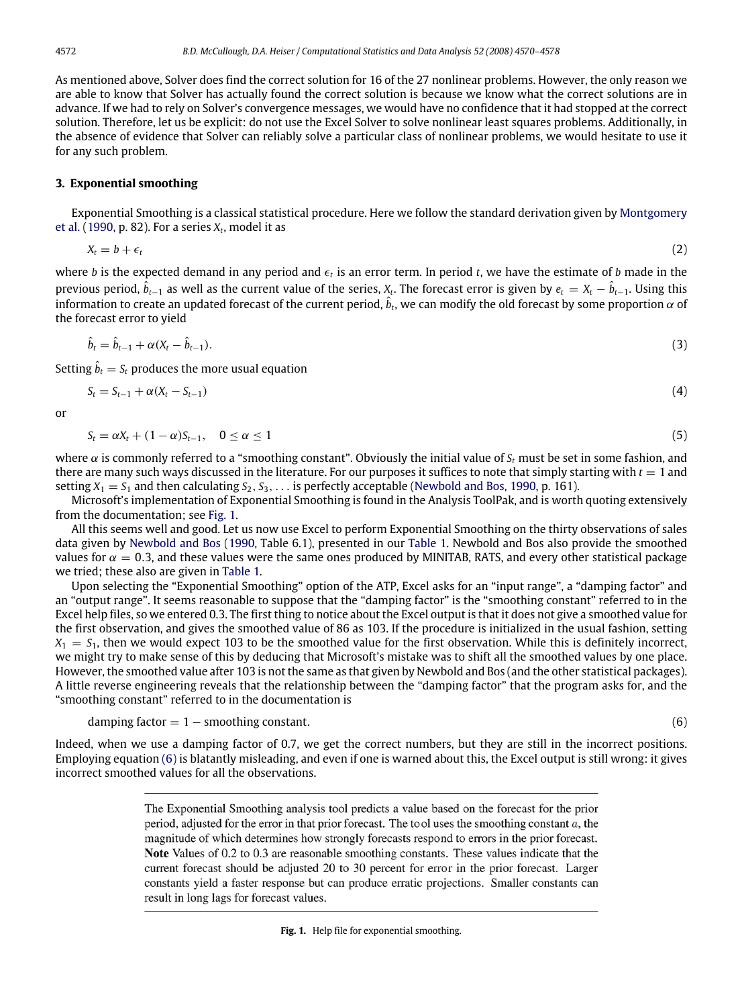As mentioned above, Solver does find the correct solution for 16 of the 27 nonlinear problems. However, the only reason we are able to know that Solver has actually found the correct solution is because we know what the correct solutions are in advance. If we had to rely on Solver's convergence messages, we would have no confidence that it had stopped at the correct solution. Therefore, let us be explicit: do not use the Excel Solver to solve nonlinear least squares problems. Additionally, in the absence of evidence that Solver can reliably solve a particular class of nonlinear problems, we would hesitate to use it for any such problem.

#### <span id="page-2-0"></span>**3. Exponential smoothing**

Exponential Smoothing is a classical statistical procedure. Here we follow the standard derivation given by [Montgomery](#page-8-25) [et al.](#page-8-25) [\(1990,](#page-8-25) p. 82). For a series *X<sup>t</sup>* , model it as

$$
X_t = b + \epsilon_t \tag{2}
$$

where *b* is the expected demand in any period and  $\epsilon_t$  is an error term. In period *t*, we have the estimate of *b* made in the previous period,  $\hat{b}_{t-1}$  as well as the current value of the series,  $X_t$ . The forecast error is given by  $e_t = X_t - \hat{b}_{t-1}$ . Using this information to create an updated forecast of the current period,  $\hat{b}_t$ , we can modify the old forecast by some proportion  $\alpha$  of the forecast error to yield

$$
\hat{b}_t = \hat{b}_{t-1} + \alpha (X_t - \hat{b}_{t-1}).
$$
\n(3)

Setting  $\hat{b}_t = S_t$  produces the more usual equation

$$
S_t = S_{t-1} + \alpha (X_t - S_{t-1}) \tag{4}
$$

or

$$
S_t = \alpha X_t + (1 - \alpha) S_{t-1}, \quad 0 \le \alpha \le 1
$$
\n<sup>(5)</sup>

where α is commonly referred to a "smoothing constant". Obviously the initial value of *S<sup>t</sup>* must be set in some fashion, and there are many such ways discussed in the literature. For our purposes it suffices to note that simply starting with  $t = 1$  and setting  $X_1 = S_1$  [and](#page-8-26) then calculating  $S_2, S_3, \ldots$  is perfectly acceptable [\(Newbold](#page-8-26) and [Bos,](#page-8-26) [1990,](#page-8-26) p. 161).

Microsoft's implementation of Exponential Smoothing is found in the Analysis ToolPak, and is worth quoting extensively from the documentation; see [Fig. 1.](#page-2-1)

All this seems well and good. Let us now use Excel to perform Exponential Smoothing on the thirty observations of sales data given by [Newbold](#page-8-26) [and](#page-8-26) [Bos](#page-8-26) [\(1990,](#page-8-26) Table 6.1), presented in our [Table 1.](#page-3-1) Newbold and Bos also provide the smoothed values for  $\alpha = 0.3$ , and these values were the same ones produced by MINITAB, RATS, and every other statistical package we tried; these also are given in [Table 1.](#page-3-1)

Upon selecting the "Exponential Smoothing" option of the ATP, Excel asks for an "input range", a "damping factor" and an "output range". It seems reasonable to suppose that the "damping factor" is the "smoothing constant" referred to in the Excel help files, so we entered 0.3. The first thing to notice about the Excel output is that it does not give a smoothed value for the first observation, and gives the smoothed value of 86 as 103. If the procedure is initialized in the usual fashion, setting  $X_1 = S_1$ , then we would expect 103 to be the smoothed value for the first observation. While this is definitely incorrect, we might try to make sense of this by deducing that Microsoft's mistake was to shift all the smoothed values by one place. However, the smoothed value after 103 is not the same as that given by Newbold and Bos (and the other statistical packages). A little reverse engineering reveals that the relationship between the "damping factor" that the program asks for, and the "smoothing constant" referred to in the documentation is

damping factor  $= 1 -$  smoothing constant. (6)

<span id="page-2-2"></span>

<span id="page-2-1"></span>Indeed, when we use a damping factor of 0.7, we get the correct numbers, but they are still in the incorrect positions. Employing equation [\(6\)](#page-2-2) is blatantly misleading, and even if one is warned about this, the Excel output is still wrong: it gives incorrect smoothed values for all the observations.

> The Exponential Smoothing analysis tool predicts a value based on the forecast for the prior period, adjusted for the error in that prior forecast. The tool uses the smoothing constant  $a$ , the magnitude of which determines how strongly forecasts respond to errors in the prior forecast. Note Values of 0.2 to 0.3 are reasonable smoothing constants. These values indicate that the current forecast should be adjusted 20 to 30 percent for error in the prior forecast. Larger constants yield a faster response but can produce erratic projections. Smaller constants can result in long lags for forecast values.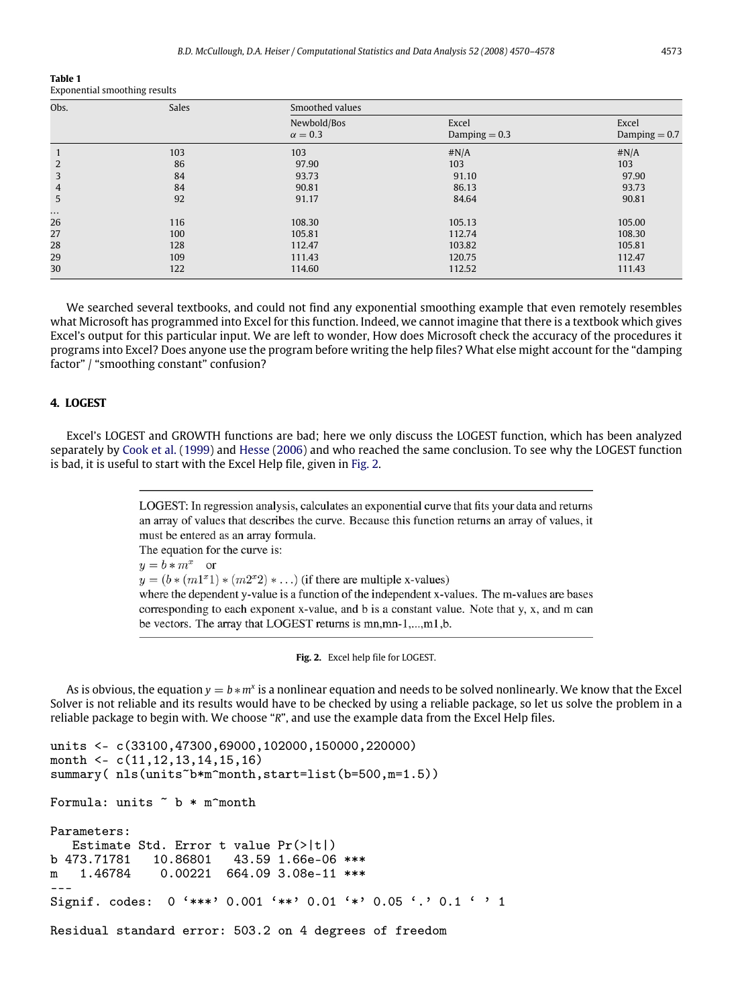<span id="page-3-1"></span>

| Table 1                       |  |
|-------------------------------|--|
| Exponential smoothing results |  |

| Obs.     | Sales | Smoothed values               |                          |                          |  |  |
|----------|-------|-------------------------------|--------------------------|--------------------------|--|--|
|          |       | Newbold/Bos<br>$\alpha = 0.3$ | Excel<br>Damping $= 0.3$ | Excel<br>Damping $= 0.7$ |  |  |
|          | 103   | 103                           | #N/A                     | #N/A                     |  |  |
| 2        | 86    | 97.90                         | 103                      | 103                      |  |  |
| 3        | 84    | 93.73                         | 91.10                    | 97.90                    |  |  |
| 4        | 84    | 90.81                         | 86.13                    | 93.73                    |  |  |
| 5        | 92    | 91.17                         | 84.64                    | 90.81                    |  |  |
| $\cdots$ |       |                               |                          |                          |  |  |
| 26       | 116   | 108.30                        | 105.13                   | 105.00                   |  |  |
| 27       | 100   | 105.81                        | 112.74                   | 108.30                   |  |  |
| 28       | 128   | 112.47                        | 103.82                   | 105.81                   |  |  |
| 29       | 109   | 111.43                        | 120.75                   | 112.47                   |  |  |
| 30       | 122   | 114.60                        | 112.52                   | 111.43                   |  |  |

We searched several textbooks, and could not find any exponential smoothing example that even remotely resembles what Microsoft has programmed into Excel for this function. Indeed, we cannot imagine that there is a textbook which gives Excel's output for this particular input. We are left to wonder, How does Microsoft check the accuracy of the procedures it programs into Excel? Does anyone use the program before writing the help files? What else might account for the "damping factor" / "smoothing constant" confusion?

#### <span id="page-3-0"></span>**4. LOGEST**

<span id="page-3-2"></span>Excel's LOGEST and GROWTH functions are bad; here we only discuss the LOGEST function, which has been analyzed separately by [Cook](#page-8-27) [et al.](#page-8-27) [\(1999\)](#page-8-27) and [Hesse](#page-8-28) [\(2006\)](#page-8-28) and who reached the same conclusion. To see why the LOGEST function is bad, it is useful to start with the Excel Help file, given in [Fig. 2.](#page-3-2)

> LOGEST: In regression analysis, calculates an exponential curve that fits your data and returns an array of values that describes the curve. Because this function returns an array of values, it must be entered as an array formula. The equation for the curve is:  $y = b * m^x$  or  $y = (b * (m1<sup>x</sup>1) * (m2<sup>x</sup>2) * ...)$  (if there are multiple x-values) where the dependent y-value is a function of the independent x-values. The m-values are bases corresponding to each exponent x-value, and b is a constant value. Note that y, x, and m can be vectors. The array that LOGEST returns is mn,mn-1,...,m1,b.

> > **Fig. 2.** Excel help file for LOGEST.

As is obvious, the equation  $y = b * m^x$  is a nonlinear equation and needs to be solved nonlinearly. We know that the Excel Solver is not reliable and its results would have to be checked by using a reliable package, so let us solve the problem in a reliable package to begin with. We choose "*R*", and use the example data from the Excel Help files.

```
units <- c(33100,47300,69000,102000,150000,220000)
month \leq c(11, 12, 13, 14, 15, 16)summary( nls(units~b*m^month,start=list(b=500,m=1.5))
Formula: units \tilde{b} * m\tilde{b} month
Parameters:
   Estimate Std. Error t value Pr(>|t|)
b 473.71781  10.86801  43.59  1.66e-06 ***<br>m  1.46784  0.00221  664.09  3.08e-11 ***
m 1.46784 0.00221 664.09 3.08e-11 ***
---
Signif. codes: 0 '***' 0.001 '**' 0.01 '*' 0.05 '.' 0.1 ' ' 1
Residual standard error: 503.2 on 4 degrees of freedom
```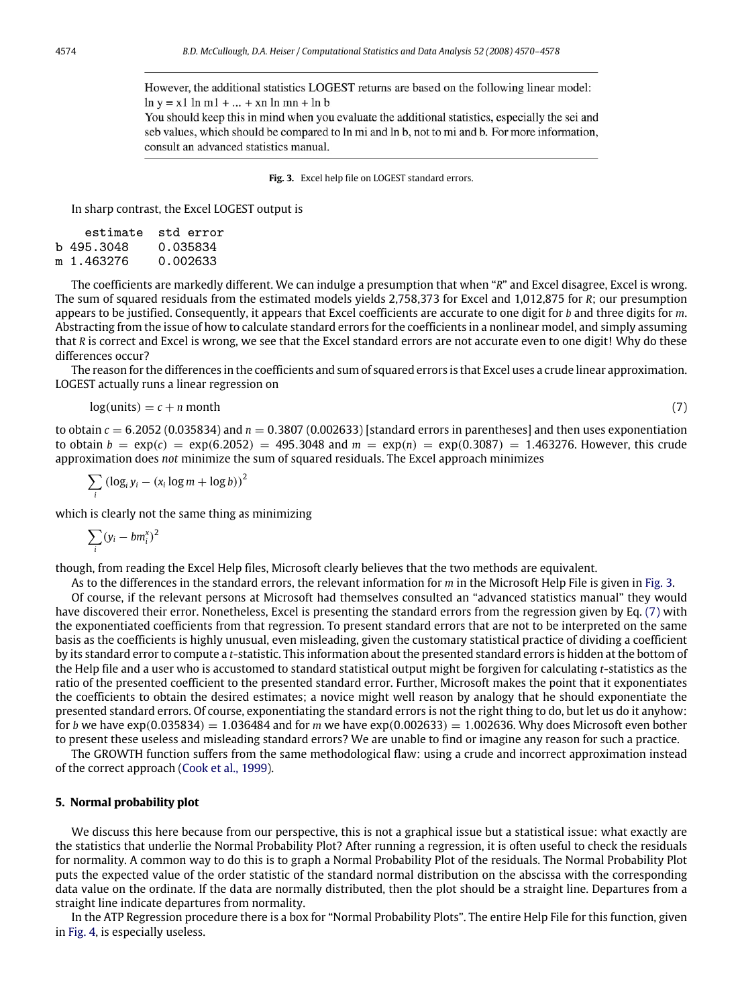<span id="page-4-1"></span>However, the additional statistics LOGEST returns are based on the following linear model:  $\ln y = x1 \ln m1 + ... + xn \ln mn + \ln b$ 

You should keep this in mind when you evaluate the additional statistics, especially the sei and seb values, which should be compared to ln mi and ln b, not to mi and b. For more information, consult an advanced statistics manual.

**Fig. 3.** Excel help file on LOGEST standard errors.

In sharp contrast, the Excel LOGEST output is

| estimate   | std error |
|------------|-----------|
| b 495.3048 | 0.035834  |
| m 1.463276 | 0.002633  |

The coefficients are markedly different. We can indulge a presumption that when "*R*" and Excel disagree, Excel is wrong. The sum of squared residuals from the estimated models yields 2,758,373 for Excel and 1,012,875 for *R*; our presumption appears to be justified. Consequently, it appears that Excel coefficients are accurate to one digit for *b* and three digits for *m*. Abstracting from the issue of how to calculate standard errors for the coefficients in a nonlinear model, and simply assuming that *R* is correct and Excel is wrong, we see that the Excel standard errors are not accurate even to one digit! Why do these differences occur?

The reason for the differences in the coefficients and sum of squared errors is that Excel uses a crude linear approximation. LOGEST actually runs a linear regression on

$$
log(units) = c + n \text{ month} \tag{7}
$$

<span id="page-4-2"></span>

to obtain  $c = 6.2052$  (0.035834) and  $n = 0.3807$  (0.002633) [standard errors in parentheses] and then uses exponentiation to obtain  $b = \exp(c) = \exp(6.2052) = 495.3048$  and  $m = \exp(n) = \exp(0.3087) = 1.463276$ . However, this crude approximation does *not* minimize the sum of squared residuals. The Excel approach minimizes

$$
\sum_i \left( \log_i y_i - (x_i \log m + \log b) \right)^2
$$

which is clearly not the same thing as minimizing

$$
\sum_i (y_i - bm_i^x)^2
$$

though, from reading the Excel Help files, Microsoft clearly believes that the two methods are equivalent.

As to the differences in the standard errors, the relevant information for *m* in the Microsoft Help File is given in [Fig. 3.](#page-4-1) Of course, if the relevant persons at Microsoft had themselves consulted an "advanced statistics manual" they would have discovered their error. Nonetheless, Excel is presenting the standard errors from the regression given by Eq. [\(7\)](#page-4-2) with the exponentiated coefficients from that regression. To present standard errors that are not to be interpreted on the same basis as the coefficients is highly unusual, even misleading, given the customary statistical practice of dividing a coefficient by its standard error to compute a *t*-statistic. This information about the presented standard errors is hidden at the bottom of the Help file and a user who is accustomed to standard statistical output might be forgiven for calculating *t*-statistics as the ratio of the presented coefficient to the presented standard error. Further, Microsoft makes the point that it exponentiates the coefficients to obtain the desired estimates; a novice might well reason by analogy that he should exponentiate the presented standard errors. Of course, exponentiating the standard errors is not the right thing to do, but let us do it anyhow: for *b* we have exp(0.035834) = 1.036484 and for *m* we have exp(0.002633) = 1.002636. Why does Microsoft even bother to present these useless and misleading standard errors? We are unable to find or imagine any reason for such a practice.

The GROWTH function suffers from the same methodological flaw: using a crude and incorrect approximation instead of the correct approach [\(Cook](#page-8-27) [et al.,](#page-8-27) [1999\)](#page-8-27).

#### <span id="page-4-0"></span>**5. Normal probability plot**

We discuss this here because from our perspective, this is not a graphical issue but a statistical issue: what exactly are the statistics that underlie the Normal Probability Plot? After running a regression, it is often useful to check the residuals for normality. A common way to do this is to graph a Normal Probability Plot of the residuals. The Normal Probability Plot puts the expected value of the order statistic of the standard normal distribution on the abscissa with the corresponding data value on the ordinate. If the data are normally distributed, then the plot should be a straight line. Departures from a straight line indicate departures from normality.

In the ATP Regression procedure there is a box for "Normal Probability Plots". The entire Help File for this function, given in [Fig. 4,](#page-5-0) is especially useless.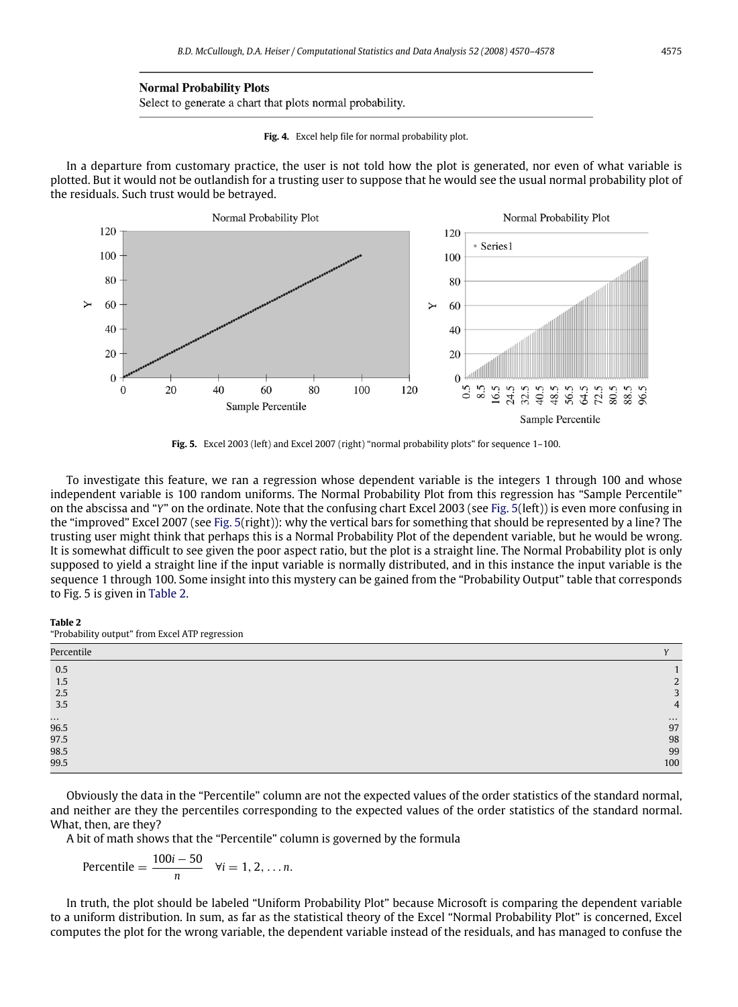#### <span id="page-5-0"></span>**Normal Probability Plots**

Select to generate a chart that plots normal probability.

#### **Fig. 4.** Excel help file for normal probability plot.

In a departure from customary practice, the user is not told how the plot is generated, nor even of what variable is plotted. But it would not be outlandish for a trusting user to suppose that he would see the usual normal probability plot of the residuals. Such trust would be betrayed.

<span id="page-5-1"></span>

**Fig. 5.** Excel 2003 (left) and Excel 2007 (right) "normal probability plots" for sequence 1–100.

To investigate this feature, we ran a regression whose dependent variable is the integers 1 through 100 and whose independent variable is 100 random uniforms. The Normal Probability Plot from this regression has "Sample Percentile" on the abscissa and "*Y*" on the ordinate. Note that the confusing chart Excel 2003 (see [Fig. 5\(](#page-5-1)left)) is even more confusing in the "improved" Excel 2007 (see [Fig. 5\(](#page-5-1)right)): why the vertical bars for something that should be represented by a line? The trusting user might think that perhaps this is a Normal Probability Plot of the dependent variable, but he would be wrong. It is somewhat difficult to see given the poor aspect ratio, but the plot is a straight line. The Normal Probability plot is only supposed to yield a straight line if the input variable is normally distributed, and in this instance the input variable is the sequence 1 through 100. Some insight into this mystery can be gained from the "Probability Output" table that corresponds to Fig. 5 is given in [Table 2.](#page-5-2)

#### <span id="page-5-2"></span>**Table 2**

| "Probability output" from Excel ATP regression |  |  |  |
|------------------------------------------------|--|--|--|
|                                                |  |  |  |

| Percentile |                |
|------------|----------------|
| 0.5        |                |
| 1.5        |                |
| 2.5        |                |
| 3.5        | $\overline{4}$ |
| $\cdots$   | $\ldots$       |
| 96.5       | 97             |
| 97.5       | 98             |
| 98.5       | 99             |
| 99.5       | 100            |

Obviously the data in the "Percentile" column are not the expected values of the order statistics of the standard normal, and neither are they the percentiles corresponding to the expected values of the order statistics of the standard normal. What, then, are they?

A bit of math shows that the "Percentile" column is governed by the formula

Percentile = 
$$
\frac{100i - 50}{n}
$$
  $\forall i = 1, 2, ..., n$ .

In truth, the plot should be labeled "Uniform Probability Plot" because Microsoft is comparing the dependent variable to a uniform distribution. In sum, as far as the statistical theory of the Excel "Normal Probability Plot" is concerned, Excel computes the plot for the wrong variable, the dependent variable instead of the residuals, and has managed to confuse the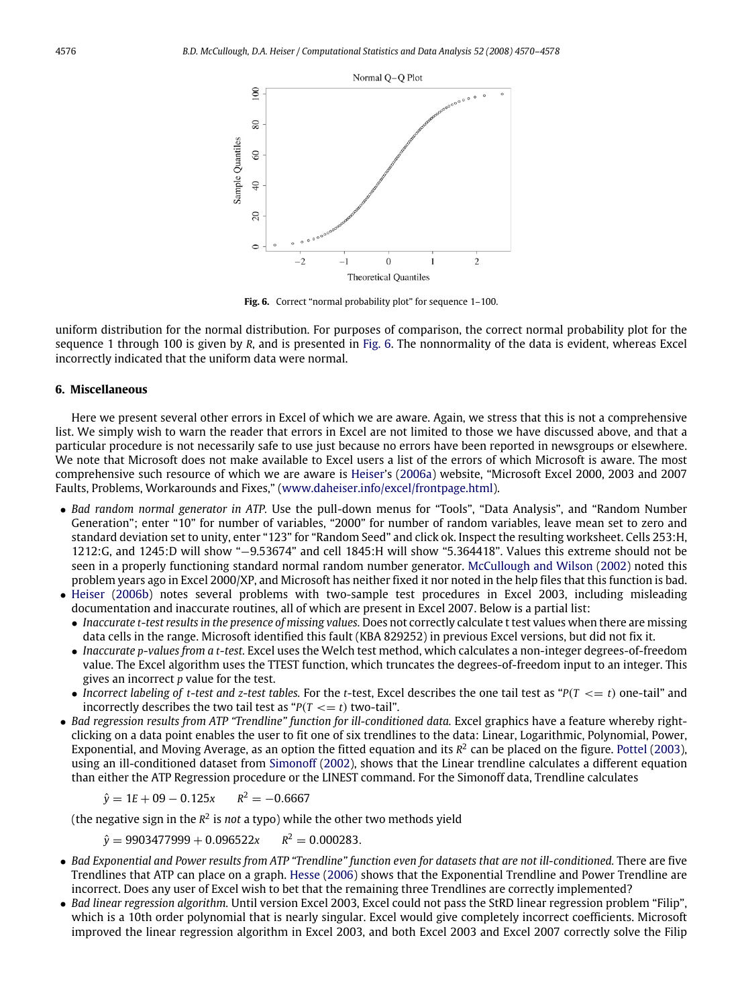<span id="page-6-1"></span>

**Fig. 6.** Correct "normal probability plot" for sequence 1–100.

uniform distribution for the normal distribution. For purposes of comparison, the correct normal probability plot for the sequence 1 through 100 is given by *R*, and is presented in [Fig. 6.](#page-6-1) The nonnormality of the data is evident, whereas Excel incorrectly indicated that the uniform data were normal.

#### <span id="page-6-0"></span>**6. Miscellaneous**

Here we present several other errors in Excel of which we are aware. Again, we stress that this is not a comprehensive list. We simply wish to warn the reader that errors in Excel are not limited to those we have discussed above, and that a particular procedure is not necessarily safe to use just because no errors have been reported in newsgroups or elsewhere. We note that Microsoft does not make available to Excel users a list of the errors of which Microsoft is aware. The most comprehensive such resource of which we are aware is [Heiser'](#page-8-29)s [\(2006a\)](#page-8-29) website, "Microsoft Excel 2000, 2003 and 2007 Faults, Problems, Workarounds and Fixes," [\(www.daheiser.info/excel/frontpage.html\)](http://www.daheiser.info/excel/frontpage.html).

- *Bad random normal generator in ATP.* Use the pull-down menus for "Tools", "Data Analysis", and "Random Number Generation"; enter "10" for number of variables, "2000" for number of random variables, leave mean set to zero and standard deviation set to unity, enter "123" for "Random Seed" and click ok. Inspect the resulting worksheet. Cells 253:H, 1212:G, and 1245:D will show "−9.53674" and cell 1845:H will show "5.364418". Values this extreme should not be seen in a properly functioning standard normal random number generator. [McCullough](#page-8-7) [and](#page-8-7) [Wilson](#page-8-7) [\(2002\)](#page-8-7) noted this problem years ago in Excel 2000/XP, and Microsoft has neither fixed it nor noted in the help files that this function is bad.
- [Heiser](#page-8-30) [\(2006b\)](#page-8-30) notes several problems with two-sample test procedures in Excel 2003, including misleading documentation and inaccurate routines, all of which are present in Excel 2007. Below is a partial list:
	- *Inaccurate t*-*test results in the presence of missing values.* Does not correctly calculate t test values when there are missing data cells in the range. Microsoft identified this fault (KBA 829252) in previous Excel versions, but did not fix it.
	- *Inaccurate p*-*values from a t*-*test.* Excel uses the Welch test method, which calculates a non-integer degrees-of-freedom value. The Excel algorithm uses the TTEST function, which truncates the degrees-of-freedom input to an integer. This gives an incorrect *p* value for the test.
	- *Incorrect labeling of t-test and z-test tables. For the <i>t*-test, Excel describes the one tail test as " $P(T \leq t)$  one-tail" and incorrectly describes the two tail test as " $P(T \le t)$  two-tail".
- *Bad regression results from ATP "Trendline" function for ill-conditioned data.* Excel graphics have a feature whereby rightclicking on a data point enables the user to fit one of six trendlines to the data: Linear, Logarithmic, Polynomial, Power, Exponential, and Moving Average, as an option the fitted equation and its *R* 2 can be placed on the figure. [Pottel](#page-8-31) [\(2003\)](#page-8-31), using an ill-conditioned dataset from [Simonoff](#page-8-32) [\(2002\)](#page-8-32), shows that the Linear trendline calculates a different equation than either the ATP Regression procedure or the LINEST command. For the Simonoff data, Trendline calculates

 $\hat{y} = 1E + 09 - 0.125x$   $R^2 = -0.6667$ 

(the negative sign in the  $R^2$  is not a typo) while the other two methods yield

 $\hat{v} = 9903477999 + 0.096522x$   $R^2 = 0.000283$ .

- *Bad Exponential and Power results from ATP "Trendline" function even for datasets that are not ill-conditioned.* There are five Trendlines that ATP can place on a graph. [Hesse](#page-8-28) [\(2006\)](#page-8-28) shows that the Exponential Trendline and Power Trendline are incorrect. Does any user of Excel wish to bet that the remaining three Trendlines are correctly implemented?
- *Bad linear regression algorithm.* Until version Excel 2003, Excel could not pass the StRD linear regression problem "Filip", which is a 10th order polynomial that is nearly singular. Excel would give completely incorrect coefficients. Microsoft improved the linear regression algorithm in Excel 2003, and both Excel 2003 and Excel 2007 correctly solve the Filip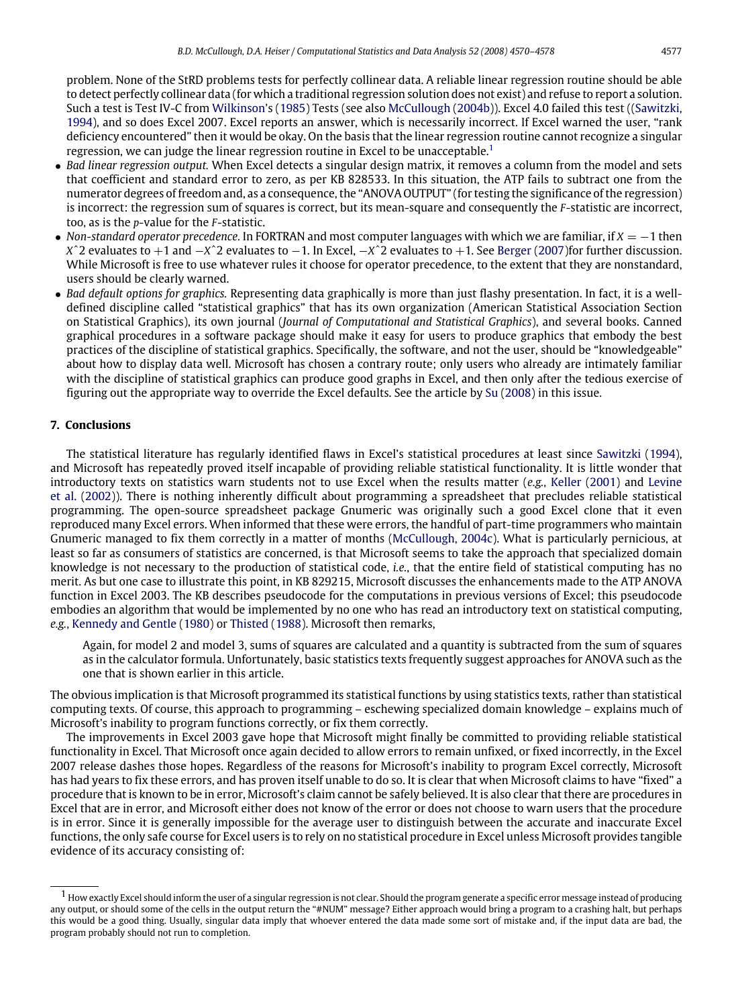problem. None of the StRD problems tests for perfectly collinear data. A reliable linear regression routine should be able to detect perfectly collinear data (for which a traditional regression solution does not exist) and refuse to report a solution. Such a test is Test IV-C from [Wilkinson'](#page-8-33)s [\(1985\)](#page-8-33) Tests (see also [McCullough](#page-8-34) [\(2004b\)](#page-8-34)). Excel 4.0 failed this test ([\(Sawitzki,](#page-8-5) [1994\)](#page-8-5), and so does Excel 2007. Excel reports an answer, which is necessarily incorrect. If Excel warned the user, "rank deficiency encountered" then it would be okay. On the basis that the linear regression routine cannot recognize a singular regression, we can judge the linear regression routine in Excel to be unacceptable.<sup>[1](#page-7-1)</sup>

- *Bad linear regression output.* When Excel detects a singular design matrix, it removes a column from the model and sets that coefficient and standard error to zero, as per KB 828533. In this situation, the ATP fails to subtract one from the numerator degrees of freedom and, as a consequence, the "ANOVA OUTPUT" (for testing the significance of the regression) is incorrect: the regression sum of squares is correct, but its mean-square and consequently the *F*-statistic are incorrect, too, as is the *p*-value for the *F*-statistic.
- *Non-standard operator precedence.* In FORTRAN and most computer languages with which we are familiar, if *X* = −1 then *X*ˆ2 evaluates to +1 and −*X*ˆ2 evaluates to −1. In Excel, −*X*ˆ2 evaluates to +1. See [Berger](#page-8-14) [\(2007\)](#page-8-14)for further discussion. While Microsoft is free to use whatever rules it choose for operator precedence, to the extent that they are nonstandard, users should be clearly warned.
- *Bad default options for graphics.* Representing data graphically is more than just flashy presentation. In fact, it is a welldefined discipline called "statistical graphics" that has its own organization (American Statistical Association Section on Statistical Graphics), its own journal (*Journal of Computational and Statistical Graphics*), and several books. Canned graphical procedures in a software package should make it easy for users to produce graphics that embody the best practices of the discipline of statistical graphics. Specifically, the software, and not the user, should be "knowledgeable" about how to display data well. Microsoft has chosen a contrary route; only users who already are intimately familiar with the discipline of statistical graphics can produce good graphs in Excel, and then only after the tedious exercise of figuring out the appropriate way to override the Excel defaults. See the article by [Su](#page-8-35) [\(2008\)](#page-8-35) in this issue.

### <span id="page-7-0"></span>**7. Conclusions**

The statistical literature has regularly identified flaws in Excel's statistical procedures at least since [Sawitzki](#page-8-5) [\(1994\)](#page-8-5), and Microsoft has repeatedly proved itself incapable of providing reliable statistical functionality. It is little wonder that introductory texts on statistics warn students not to use Excel when the results matter (*e.g.*, [Keller](#page-8-36) [\(2001\)](#page-8-36) and [Levine](#page-8-37) [et al.](#page-8-37) [\(2002\)](#page-8-37)). There is nothing inherently difficult about programming a spreadsheet that precludes reliable statistical programming. The open-source spreadsheet package Gnumeric was originally such a good Excel clone that it even reproduced many Excel errors. When informed that these were errors, the handful of part-time programmers who maintain Gnumeric managed to fix them correctly in a matter of months [\(McCullough,](#page-8-38) [2004c\)](#page-8-38). What is particularly pernicious, at least so far as consumers of statistics are concerned, is that Microsoft seems to take the approach that specialized domain knowledge is not necessary to the production of statistical code, *i.e.*, that the entire field of statistical computing has no merit. As but one case to illustrate this point, in KB 829215, Microsoft discusses the enhancements made to the ATP ANOVA function in Excel 2003. The KB describes pseudocode for the computations in previous versions of Excel; this pseudocode embodies an algorithm that would be implemented by no one who has read an introductory text on statistical computing, *e.g.*, [Kennedy](#page-8-39) [and](#page-8-39) [Gentle](#page-8-39) [\(1980\)](#page-8-39) or [Thisted](#page-8-40) [\(1988\)](#page-8-40). Microsoft then remarks,

Again, for model 2 and model 3, sums of squares are calculated and a quantity is subtracted from the sum of squares as in the calculator formula. Unfortunately, basic statistics texts frequently suggest approaches for ANOVA such as the one that is shown earlier in this article.

The obvious implication is that Microsoft programmed its statistical functions by using statistics texts, rather than statistical computing texts. Of course, this approach to programming – eschewing specialized domain knowledge – explains much of Microsoft's inability to program functions correctly, or fix them correctly.

The improvements in Excel 2003 gave hope that Microsoft might finally be committed to providing reliable statistical functionality in Excel. That Microsoft once again decided to allow errors to remain unfixed, or fixed incorrectly, in the Excel 2007 release dashes those hopes. Regardless of the reasons for Microsoft's inability to program Excel correctly, Microsoft has had years to fix these errors, and has proven itself unable to do so. It is clear that when Microsoft claims to have "fixed" a procedure that is known to be in error, Microsoft's claim cannot be safely believed. It is also clear that there are procedures in Excel that are in error, and Microsoft either does not know of the error or does not choose to warn users that the procedure is in error. Since it is generally impossible for the average user to distinguish between the accurate and inaccurate Excel functions, the only safe course for Excel users is to rely on no statistical procedure in Excel unless Microsoft provides tangible evidence of its accuracy consisting of:

<span id="page-7-1"></span> $^{\rm 1}$  How exactly Excel should inform the user of a singular regression is not clear. Should the program generate a specific error message instead of producing any output, or should some of the cells in the output return the "#NUM" message? Either approach would bring a program to a crashing halt, but perhaps this would be a good thing. Usually, singular data imply that whoever entered the data made some sort of mistake and, if the input data are bad, the program probably should not run to completion.